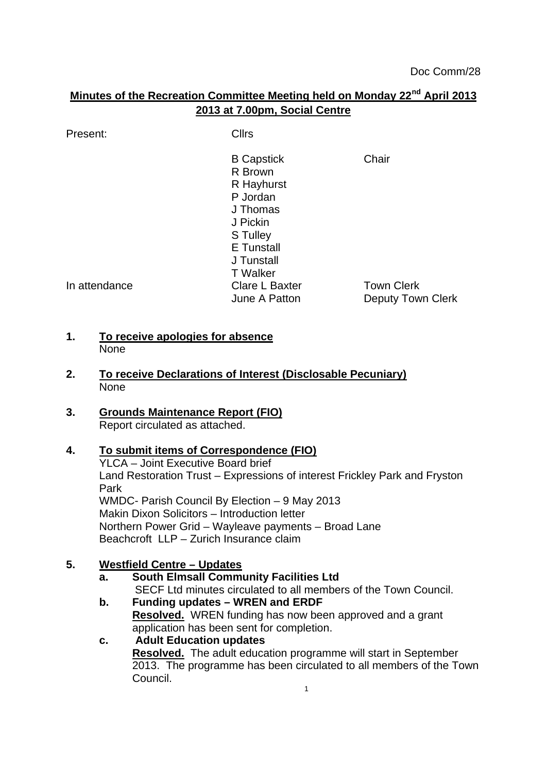# **Minutes of the Recreation Committee Meeting held on Monday 22nd April 2013 2013 at 7.00pm, Social Centre**

Present: Clirs

B Capstick Chair R Brown R Hayhurst P Jordan J Thomas J Pickin S Tulley E Tunstall J Tunstall T Walker In attendance Clare L Baxter Town Clerk June A Patton **Deputy Town Clerk** 

#### **1. To receive apologies for absence** None

**2. To receive Declarations of Interest (Disclosable Pecuniary)** None

### **3. Grounds Maintenance Report (FIO)** Report circulated as attached.

## **4. To submit items of Correspondence (FIO)**

YLCA – Joint Executive Board brief Land Restoration Trust – Expressions of interest Frickley Park and Fryston Park WMDC- Parish Council By Election – 9 May 2013 Makin Dixon Solicitors – Introduction letter Northern Power Grid – Wayleave payments – Broad Lane Beachcroft LLP – Zurich Insurance claim

## **5. Westfield Centre – Updates**

#### **a. South Elmsall Community Facilities Ltd** SECF Ltd minutes circulated to all members of the Town Council.

**b. Funding updates – WREN and ERDF Resolved.** WREN funding has now been approved and a grant application has been sent for completion.

#### **c. Adult Education updates Resolved.** The adult education programme will start in September 2013. The programme has been circulated to all members of the Town Council. 1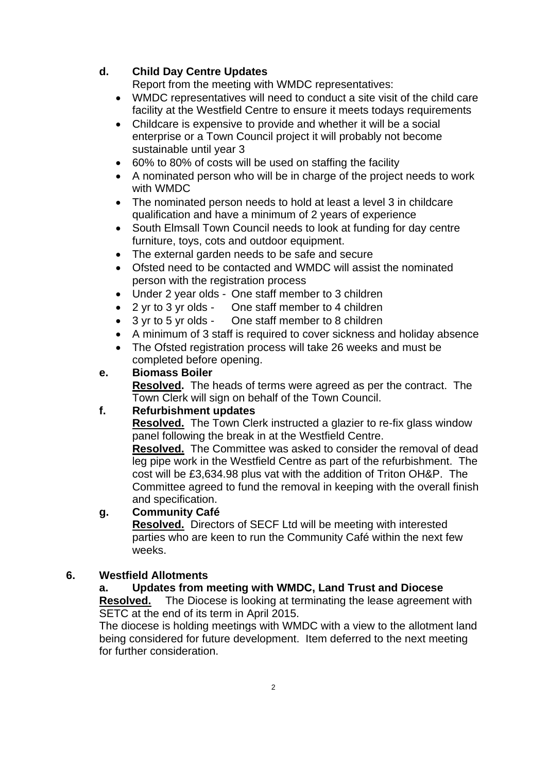### **d. Child Day Centre Updates**

Report from the meeting with WMDC representatives:

- WMDC representatives will need to conduct a site visit of the child care facility at the Westfield Centre to ensure it meets todays requirements
- Childcare is expensive to provide and whether it will be a social enterprise or a Town Council project it will probably not become sustainable until year 3
- 60% to 80% of costs will be used on staffing the facility
- A nominated person who will be in charge of the project needs to work with WMDC
- The nominated person needs to hold at least a level 3 in childcare qualification and have a minimum of 2 years of experience
- South Elmsall Town Council needs to look at funding for day centre furniture, toys, cots and outdoor equipment.
- The external garden needs to be safe and secure
- Ofsted need to be contacted and WMDC will assist the nominated person with the registration process
- Under 2 year olds One staff member to 3 children
- 2 yr to 3 yr olds One staff member to 4 children
- 3 yr to 5 yr olds One staff member to 8 children
- A minimum of 3 staff is required to cover sickness and holiday absence
- The Ofsted registration process will take 26 weeks and must be completed before opening.

#### **e. Biomass Boiler**

**Resolved.** The heads of terms were agreed as per the contract. The Town Clerk will sign on behalf of the Town Council.

#### **f. Refurbishment updates**

**Resolved.** The Town Clerk instructed a glazier to re-fix glass window panel following the break in at the Westfield Centre.

**Resolved.** The Committee was asked to consider the removal of dead leg pipe work in the Westfield Centre as part of the refurbishment. The cost will be £3,634.98 plus vat with the addition of Triton OH&P. The Committee agreed to fund the removal in keeping with the overall finish and specification.

#### **g. Community Café**

**Resolved.** Directors of SECF Ltd will be meeting with interested parties who are keen to run the Community Café within the next few weeks.

#### **6. Westfield Allotments**

#### **a. Updates from meeting with WMDC, Land Trust and Diocese**

**Resolved.** The Diocese is looking at terminating the lease agreement with SETC at the end of its term in April 2015.

The diocese is holding meetings with WMDC with a view to the allotment land being considered for future development. Item deferred to the next meeting for further consideration.